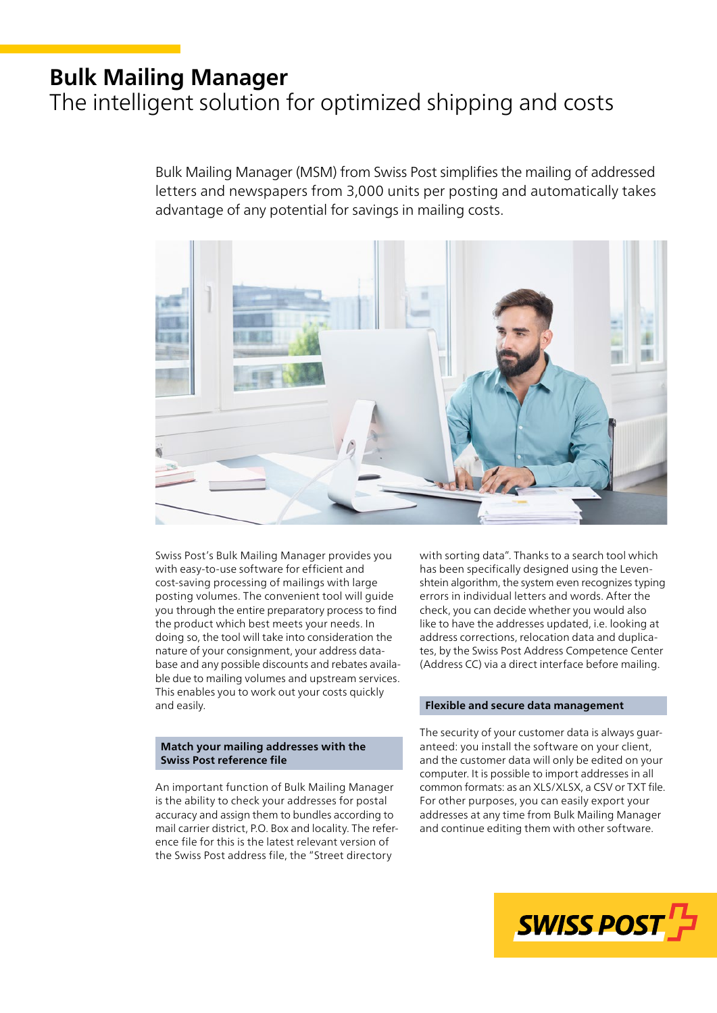# **Bulk Mailing Manager**

# The intelligent solution for optimized shipping and costs

Bulk Mailing Manager (MSM) from Swiss Post simplifies the mailing of addressed letters and newspapers from 3,000 units per posting and automatically takes advantage of any potential for savings in mailing costs.



Swiss Post's Bulk Mailing Manager provides you with easy-to-use software for efficient and cost-saving processing of mailings with large posting volumes. The convenient tool will guide you through the entire preparatory process to find the product which best meets your needs. In doing so, the tool will take into consideration the nature of your consignment, your address data base and any possible discounts and rebates availa ble due to mailing volumes and upstream services. This enables you to work out your costs quickly and easily.

### **Match your mailing addresses with the Swiss Post reference file**

An important function of Bulk Mailing Manager is the ability to check your addresses for postal accuracy and assign them to bundles according to mail carrier district, P.O. Box and locality. The refer ence file for this is the latest relevant version of the Swiss Post address file, the "Street directory

with sorting data". Thanks to a search tool which has been specifically designed using the Leven shtein algorithm, the system even recognizes typing errors in individual letters and words. After the check, you can decide whether you would also like to have the addresses updated, i.e. looking at address corrections, relocation data and duplica tes, by the Swiss Post Address Competence Center (Address CC) via a direct interface before mailing.

## **Flexible and secure data management**

The security of your customer data is always guar anteed: you install the software on your client, and the customer data will only be edited on your computer. It is possible to import addresses in all common formats: as an XLS/XLSX, a CSV or TXT file. For other purposes, you can easily export your addresses at any time from Bulk Mailing Manager and continue editing them with other software.